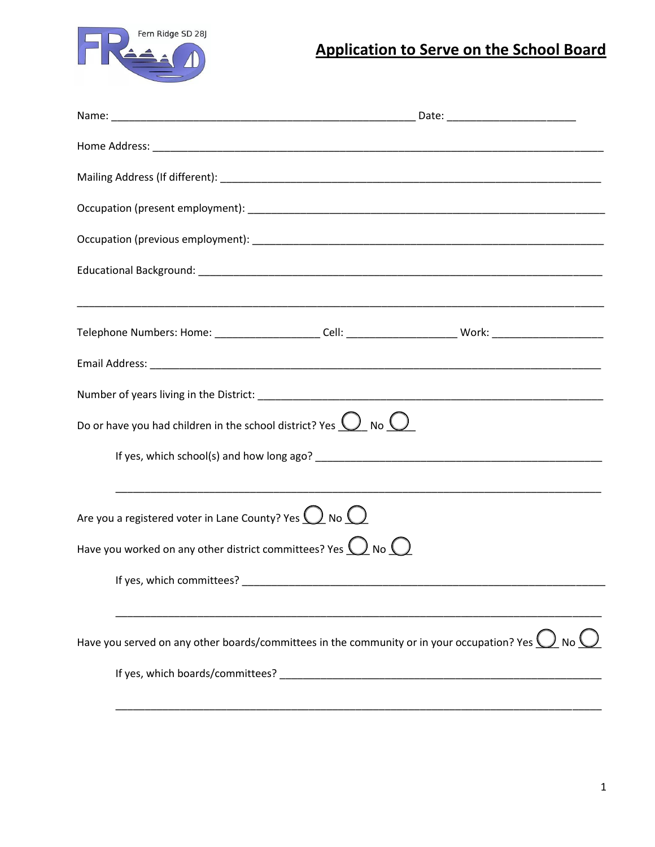

## **Application to Serve on the School Board**

| Telephone Numbers: Home: ______________________Cell: _________________________Work: __________________________    |  |
|-------------------------------------------------------------------------------------------------------------------|--|
|                                                                                                                   |  |
|                                                                                                                   |  |
| Do or have you had children in the school district? Yes $Q$ No $Q$                                                |  |
|                                                                                                                   |  |
| Are you a registered voter in Lane County? Yes $\bigcup$ No $\bigcirc$                                            |  |
| Have you worked on any other district committees? Yes $\bigcirc$ No $\bigcirc$                                    |  |
| If yes, which committees?                                                                                         |  |
| Have you served on any other boards/committees in the community or in your occupation? Yes $\bigcup$ No $\bigcup$ |  |
|                                                                                                                   |  |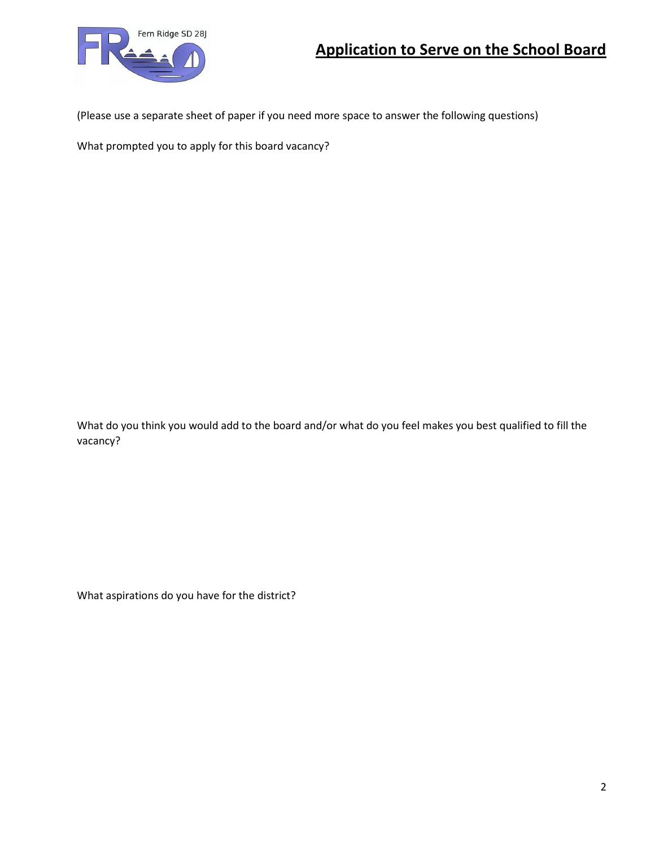

(Please use a separate sheet of paper if you need more space to answer the following questions)

What prompted you to apply for this board vacancy?

What do you think you would add to the board and/or what do you feel makes you best qualified to fill the vacancy?

What aspirations do you have for the district?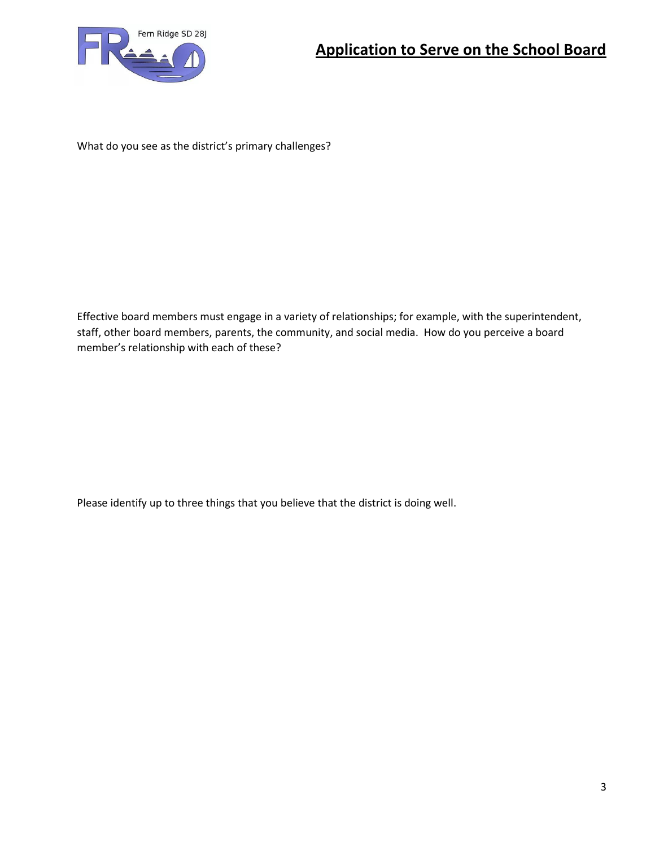

What do you see as the district's primary challenges?

Effective board members must engage in a variety of relationships; for example, with the superintendent, staff, other board members, parents, the community, and social media. How do you perceive a board member's relationship with each of these?

Please identify up to three things that you believe that the district is doing well.